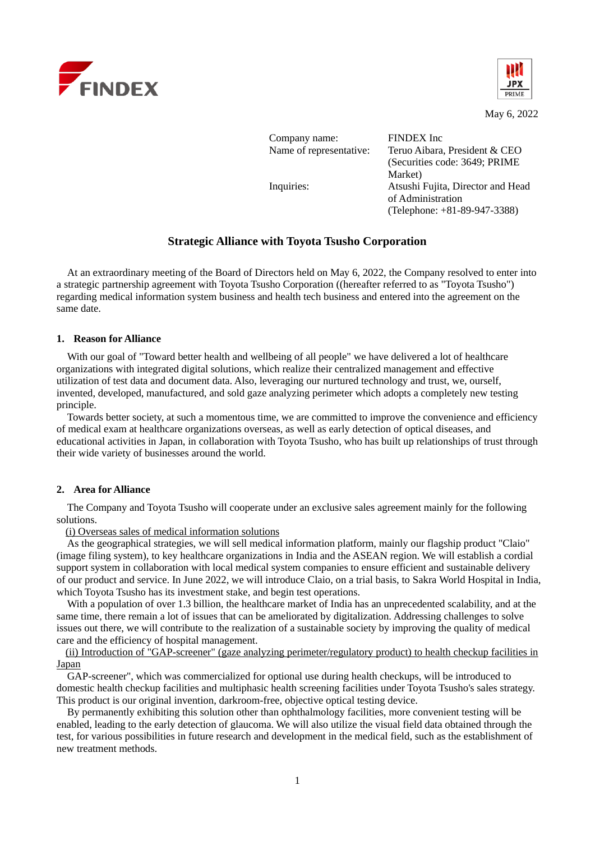



May 6, 2022

| Company name:           | FINDEX Inc.                       |  |  |
|-------------------------|-----------------------------------|--|--|
| Name of representative: | Teruo Aibara, President & CEO     |  |  |
|                         |                                   |  |  |
|                         | (Securities code: 3649; PRIME)    |  |  |
|                         | Market)                           |  |  |
| Inquiries:              | Atsushi Fujita, Director and Head |  |  |
|                         | of Administration                 |  |  |
|                         | (Telephone: $+81-89-947-3388$ )   |  |  |

# **Strategic Alliance with Toyota Tsusho Corporation**

At an extraordinary meeting of the Board of Directors held on May 6, 2022, the Company resolved to enter into a strategic partnership agreement with Toyota Tsusho Corporation ((hereafter referred to as "Toyota Tsusho") regarding medical information system business and health tech business and entered into the agreement on the same date.

#### **1. Reason for Alliance**

With our goal of "Toward better health and wellbeing of all people" we have delivered a lot of healthcare organizations with integrated digital solutions, which realize their centralized management and effective utilization of test data and document data. Also, leveraging our nurtured technology and trust, we, ourself, invented, developed, manufactured, and sold gaze analyzing perimeter which adopts a completely new testing principle.

Towards better society, at such a momentous time, we are committed to improve the convenience and efficiency of medical exam at healthcare organizations overseas, as well as early detection of optical diseases, and educational activities in Japan, in collaboration with Toyota Tsusho, who has built up relationships of trust through their wide variety of businesses around the world.

#### **2. Area for Alliance**

The Company and Toyota Tsusho will cooperate under an exclusive sales agreement mainly for the following solutions.

(i) Overseas sales of medical information solutions

As the geographical strategies, we will sell medical information platform, mainly our flagship product "Claio" (image filing system), to key healthcare organizations in India and the ASEAN region. We will establish a cordial support system in collaboration with local medical system companies to ensure efficient and sustainable delivery of our product and service. In June 2022, we will introduce Claio, on a trial basis, to Sakra World Hospital in India, which Toyota Tsusho has its investment stake, and begin test operations.

With a population of over 1.3 billion, the healthcare market of India has an unprecedented scalability, and at the same time, there remain a lot of issues that can be ameliorated by digitalization. Addressing challenges to solve issues out there, we will contribute to the realization of a sustainable society by improving the quality of medical care and the efficiency of hospital management.

(ii) Introduction of "GAP-screener" (gaze analyzing perimeter/regulatory product) to health checkup facilities in Japan

GAP-screener", which was commercialized for optional use during health checkups, will be introduced to domestic health checkup facilities and multiphasic health screening facilities under Toyota Tsusho's sales strategy. This product is our original invention, darkroom-free, objective optical testing device.

By permanently exhibiting this solution other than ophthalmology facilities, more convenient testing will be enabled, leading to the early detection of glaucoma. We will also utilize the visual field data obtained through the test, for various possibilities in future research and development in the medical field, such as the establishment of new treatment methods.